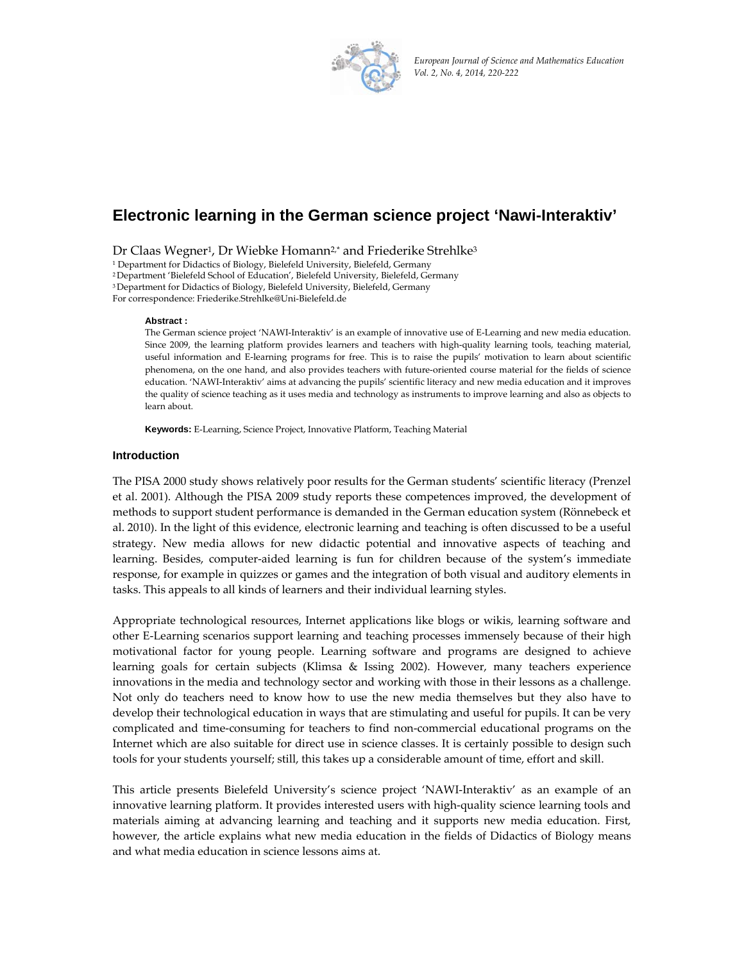

*European Journal of Science and Mathematics Education Vol. 2, No. 4, 2014, 220‐222*

# **Electronic learning in the German science project 'Nawi-Interaktiv'**

Dr Claas Wegner<sup>1</sup>, Dr Wiebke Homann<sup>2,\*</sup> and Friederike Strehlke<sup>3</sup>

<sup>1</sup> Department for Didactics of Biology, Bielefeld University, Bielefeld, Germany

2 Department 'Bielefeld School of Education', Bielefeld University, Bielefeld, Germany

3 Department for Didactics of Biology, Bielefeld University, Bielefeld, Germany

For correspondence: Friederike.Strehlke@Uni-Bielefeld.de

#### **Abstract :**

The German science project 'NAWI-Interaktiv' is an example of innovative use of E-Learning and new media education. Since 2009, the learning platform provides learners and teachers with high-quality learning tools, teaching material, useful information and E-learning programs for free. This is to raise the pupils' motivation to learn about scientific phenomena, on the one hand, and also provides teachers with future‐oriented course material for the fields of science education. 'NAWI‐Interaktiv' aims at advancing the pupils' scientific literacy and new media education and it improves the quality of science teaching as it uses media and technology as instruments to improve learning and also as objects to learn about.

**Keywords:** E-Learning, Science Project, Innovative Platform, Teaching Material

# **Introduction**

The PISA 2000 study shows relatively poor results for the German students' scientific literacy (Prenzel et al. 2001). Although the PISA 2009 study reports these competences improved, the development of methods to support student performance is demanded in the German education system (Rönnebeck et al. 2010). In the light of this evidence, electronic learning and teaching is often discussed to be a useful strategy. New media allows for new didactic potential and innovative aspects of teaching and learning. Besides, computer‐aided learning is fun for children because of the system's immediate response, for example in quizzes or games and the integration of both visual and auditory elements in tasks. This appeals to all kinds of learners and their individual learning styles.

Appropriate technological resources, Internet applications like blogs or wikis, learning software and other E-Learning scenarios support learning and teaching processes immensely because of their high motivational factor for young people. Learning software and programs are designed to achieve learning goals for certain subjects (Klimsa & Issing 2002). However, many teachers experience innovations in the media and technology sector and working with those in their lessons as a challenge. Not only do teachers need to know how to use the new media themselves but they also have to develop their technological education in ways that are stimulating and useful for pupils. It can be very complicated and time‐consuming for teachers to find non‐commercial educational programs on the Internet which are also suitable for direct use in science classes. It is certainly possible to design such tools for your students yourself; still, this takes up a considerable amount of time, effort and skill.

This article presents Bielefeld University's science project 'NAWI-Interaktiv' as an example of an innovative learning platform. It provides interested users with high-quality science learning tools and materials aiming at advancing learning and teaching and it supports new media education. First, however, the article explains what new media education in the fields of Didactics of Biology means and what media education in science lessons aims at.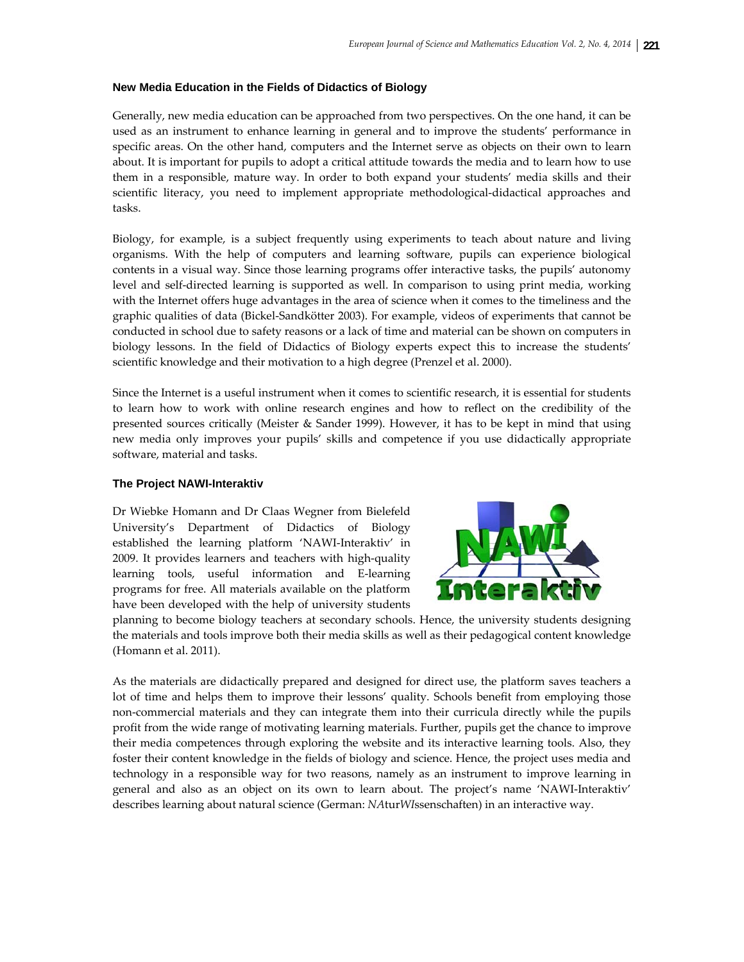# **New Media Education in the Fields of Didactics of Biology**

Generally, new media education can be approached from two perspectives. On the one hand, it can be used as an instrument to enhance learning in general and to improve the students' performance in specific areas. On the other hand, computers and the Internet serve as objects on their own to learn about. It is important for pupils to adopt a critical attitude towards the media and to learn how to use them in a responsible, mature way. In order to both expand your students' media skills and their scientific literacy, you need to implement appropriate methodological-didactical approaches and tasks.

Biology, for example, is a subject frequently using experiments to teach about nature and living organisms. With the help of computers and learning software, pupils can experience biological contents in a visual way. Since those learning programs offer interactive tasks, the pupils' autonomy level and self-directed learning is supported as well. In comparison to using print media, working with the Internet offers huge advantages in the area of science when it comes to the timeliness and the graphic qualities of data (Bickel‐Sandkötter 2003). For example, videos of experiments that cannot be conducted in school due to safety reasons or a lack of time and material can be shown on computers in biology lessons. In the field of Didactics of Biology experts expect this to increase the students' scientific knowledge and their motivation to a high degree (Prenzel et al. 2000).

Since the Internet is a useful instrument when it comes to scientific research, it is essential for students to learn how to work with online research engines and how to reflect on the credibility of the presented sources critically (Meister & Sander 1999). However, it has to be kept in mind that using new media only improves your pupils' skills and competence if you use didactically appropriate software, material and tasks.

# **The Project NAWI-Interaktiv**

Dr Wiebke Homann and Dr Claas Wegner from Bielefeld University's Department of Didactics of Biology established the learning platform 'NAWI‐Interaktiv' in 2009. It provides learners and teachers with high‐quality learning tools, useful information and E‐learning programs for free. All materials available on the platform have been developed with the help of university students



planning to become biology teachers at secondary schools. Hence, the university students designing the materials and tools improve both their media skills as well as their pedagogical content knowledge (Homann et al. 2011).

As the materials are didactically prepared and designed for direct use, the platform saves teachers a lot of time and helps them to improve their lessons' quality. Schools benefit from employing those non‐commercial materials and they can integrate them into their curricula directly while the pupils profit from the wide range of motivating learning materials. Further, pupils get the chance to improve their media competences through exploring the website and its interactive learning tools. Also, they foster their content knowledge in the fields of biology and science. Hence, the project uses media and technology in a responsible way for two reasons, namely as an instrument to improve learning in general and also as an object on its own to learn about. The project's name 'NAWI‐Interaktiv' describes learning about natural science (German: *NA*tur*WI*ssenschaften) in an interactive way.